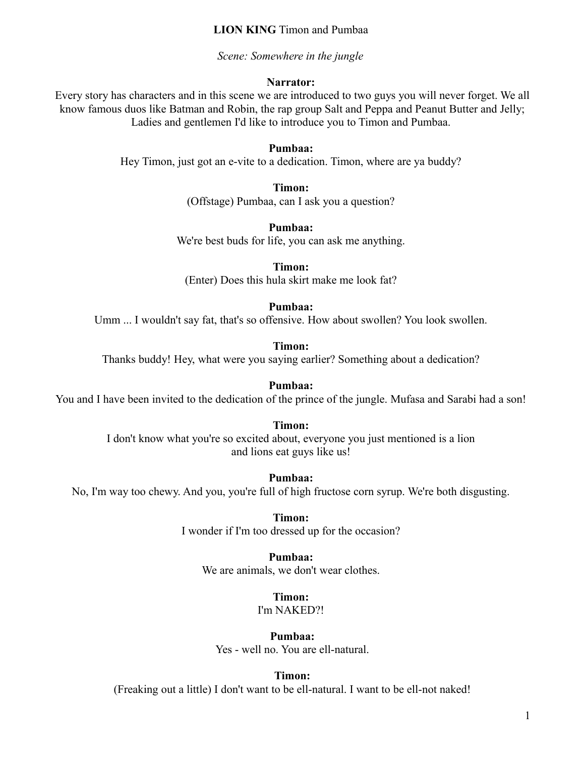#### **LION KING** Timon and Pumbaa

*Scene: Somewhere in the jungle* 

#### **Narrator:**

Every story has characters and in this scene we are introduced to two guys you will never forget. We all know famous duos like Batman and Robin, the rap group Salt and Peppa and Peanut Butter and Jelly; Ladies and gentlemen I'd like to introduce you to Timon and Pumbaa.

#### **Pumbaa:**

Hey Timon, just got an e-vite to a dedication. Timon, where are ya buddy?

**Timon:** 

(Offstage) Pumbaa, can I ask you a question?

**Pumbaa:** 

We're best buds for life, you can ask me anything.

**Timon:**  (Enter) Does this hula skirt make me look fat?

#### **Pumbaa:**

Umm ... I wouldn't say fat, that's so offensive. How about swollen? You look swollen.

**Timon:** 

Thanks buddy! Hey, what were you saying earlier? Something about a dedication?

#### **Pumbaa:**

You and I have been invited to the dedication of the prince of the jungle. Mufasa and Sarabi had a son!

### **Timon:**

I don't know what you're so excited about, everyone you just mentioned is a lion and lions eat guys like us!

**Pumbaa:** 

No, I'm way too chewy. And you, you're full of high fructose corn syrup. We're both disgusting.

**Timon:** 

I wonder if I'm too dressed up for the occasion?

## **Pumbaa:**

We are animals, we don't wear clothes.

**Timon:** 

I'm NAKED?!

**Pumbaa:** Yes - well no. You are ell-natural.

#### **Timon:**

(Freaking out a little) I don't want to be ell-natural. I want to be ell-not naked!